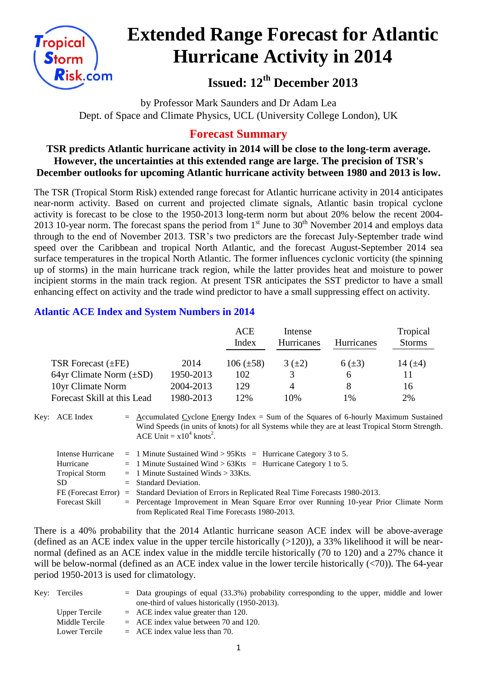

# **Extended Range Forecast for Atlantic Hurricane Activity in 2014**

**Issued: 12th December 2013**

by Professor Mark Saunders and Dr Adam Lea Dept. of Space and Climate Physics, UCL (University College London), UK

## **Forecast Summary**

#### **TSR predicts Atlantic hurricane activity in 2014 will be close to the long-term average. However, the uncertainties at this extended range are large. The precision of TSR's December outlooks for upcoming Atlantic hurricane activity between 1980 and 2013 is low.**

The TSR (Tropical Storm Risk) extended range forecast for Atlantic hurricane activity in 2014 anticipates near-norm activity. Based on current and projected climate signals, Atlantic basin tropical cyclone activity is forecast to be close to the 1950-2013 long-term norm but about 20% below the recent 2004- 2013 10-year norm. The forecast spans the period from  $1<sup>st</sup>$  June to  $30<sup>th</sup>$  November 2014 and employs data through to the end of November 2013. TSR's two predictors are the forecast July-September trade wind speed over the Caribbean and tropical North Atlantic, and the forecast August-September 2014 sea surface temperatures in the tropical North Atlantic. The former influences cyclonic vorticity (the spinning up of storms) in the main hurricane track region, while the latter provides heat and moisture to power incipient storms in the main track region. At present TSR anticipates the SST predictor to have a small enhancing effect on activity and the trade wind predictor to have a small suppressing effect on activity.

### **Atlantic ACE Index and System Numbers in 2014**

|                              |           | <b>ACE</b><br>Index | Intense<br><b>Hurricanes</b> | <b>Hurricanes</b> | Tropical<br><b>Storms</b> |
|------------------------------|-----------|---------------------|------------------------------|-------------------|---------------------------|
| TSR Forecast $(\pm FE)$      | 2014      | $106 (\pm 58)$      | $3(+2)$                      | $6(\pm 3)$        | 14 $(\pm 4)$              |
| 64yr Climate Norm $(\pm SD)$ | 1950-2013 | 102                 |                              | <sub>0</sub>      | 11                        |
| 10yr Climate Norm            | 2004-2013 | 129                 | 4                            | 8                 | 16                        |
| Forecast Skill at this Lead  | 1980-2013 | 12%                 | 10%                          | 1%                | 2%                        |

Key: ACE Index  $=$  Accumulated Cyclone Energy Index = Sum of the Squares of 6-hourly Maximum Sustained Wind Speeds (in units of knots) for all Systems while they are at least Tropical Storm Strength. ACE Unit =  $x10^4$  knots<sup>2</sup>.

|                       | Intense Hurricane = 1 Minute Sustained Wind > $95Kts$ = Hurricane Category 3 to 5.              |
|-----------------------|-------------------------------------------------------------------------------------------------|
| Hurricane             | $=$ 1 Minute Sustained Wind > 63Kts = Hurricane Category 1 to 5.                                |
| <b>Tropical Storm</b> | $=$ 1 Minute Sustained Winds $>$ 33Kts.                                                         |
| SD.                   | $=$ Standard Deviation.                                                                         |
|                       | FE (Forecast Error) = Standard Deviation of Errors in Replicated Real Time Forecasts 1980-2013. |
| Forecast Skill        | = Percentage Improvement in Mean Square Error over Running 10-year Prior Climate Norm           |
|                       | from Replicated Real Time Forecasts 1980-2013.                                                  |

There is a 40% probability that the 2014 Atlantic hurricane season ACE index will be above-average (defined as an ACE index value in the upper tercile historically  $(>120)$ ), a 33% likelihood it will be nearnormal (defined as an ACE index value in the middle tercile historically (70 to 120) and a 27% chance it will be below-normal (defined as an ACE index value in the lower tercile historically  $(\langle 70 \rangle)$ ). The 64-year period 1950-2013 is used for climatology.

| Key: Terciles  | $=$ Data groupings of equal (33.3%) probability corresponding to the upper, middle and lower |
|----------------|----------------------------------------------------------------------------------------------|
|                | one-third of values historically (1950-2013).                                                |
| Upper Tercile  | $=$ ACE index value greater than 120.                                                        |
| Middle Tercile | $=$ ACE index value between 70 and 120.                                                      |
| Lower Tercile  | $=$ ACE index value less than 70.                                                            |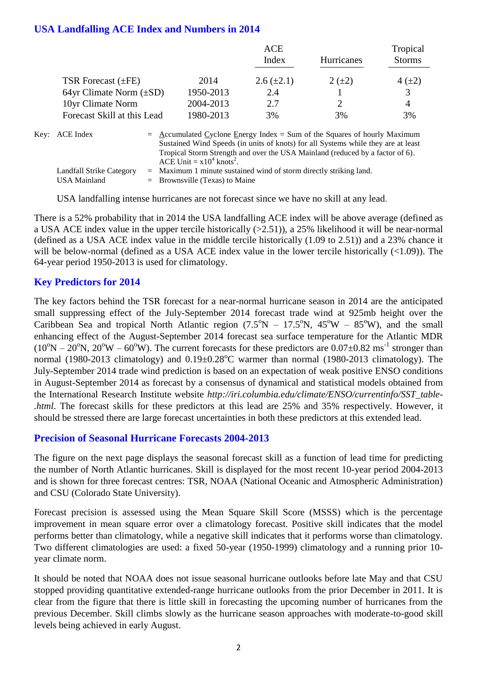#### **USA Landfalling ACE Index and Numbers in 2014**

|                                                  |           | ACE             |            | Tropical      |
|--------------------------------------------------|-----------|-----------------|------------|---------------|
|                                                  |           | Index           | Hurricanes | <b>Storms</b> |
| TSR Forecast $(\pm FE)$                          | 2014      | $2.6 (\pm 2.1)$ | $2 (+2)$   | $4(\pm 2)$    |
| 64yr Climate Norm $(\pm SD)$                     | 1950-2013 | 2.4             |            | 3             |
| 10yr Climate Norm                                | 2004-2013 | 2.7             |            | 4             |
| Forecast Skill at this Lead                      | 1980-2013 | 3%              | 3%         | 3%            |
| $\sim$ $\sim$ $\sim$ $\sim$ $\sim$ $\sim$ $\sim$ |           |                 |            |               |

| Key: ACE Index           | $=$ Accumulated Cyclone Energy Index $=$ Sum of the Squares of hourly Maximum     |
|--------------------------|-----------------------------------------------------------------------------------|
|                          | Sustained Wind Speeds (in units of knots) for all Systems while they are at least |
|                          | Tropical Storm Strength and over the USA Mainland (reduced by a factor of 6).     |
|                          | ACE Unit = $x10^4$ knots <sup>2</sup> .                                           |
| Landfall Strike Category | $=$ Maximum 1 minute sustained wind of storm directly striking land.              |
| USA Mainland             | $=$ Brownsville (Texas) to Maine                                                  |

USA landfalling intense hurricanes are not forecast since we have no skill at any lead.

There is a 52% probability that in 2014 the USA landfalling ACE index will be above average (defined as a USA ACE index value in the upper tercile historically (>2.51)), a 25% likelihood it will be near-normal (defined as a USA ACE index value in the middle tercile historically (1.09 to 2.51)) and a 23% chance it will be below-normal (defined as a USA ACE index value in the lower tercile historically  $(\leq 1.09)$ ). The 64-year period 1950-2013 is used for climatology.

#### **Key Predictors for 2014**

The key factors behind the TSR forecast for a near-normal hurricane season in 2014 are the anticipated small suppressing effect of the July-September 2014 forecast trade wind at 925mb height over the Caribbean Sea and tropical North Atlantic region  $(7.5^{\circ}N - 17.5^{\circ}N, 45^{\circ}W - 85^{\circ}W)$ , and the small enhancing effect of the August-September 2014 forecast sea surface temperature for the Atlantic MDR  $(10^{\circ}N - 20^{\circ}N, 20^{\circ}W - 60^{\circ}W)$ . The current forecasts for these predictors are  $0.07 \pm 0.82$  ms<sup>-1</sup> stronger than normal (1980-2013 climatology) and  $0.19\pm0.28^{\circ}$ C warmer than normal (1980-2013 climatology). The July-September 2014 trade wind prediction is based on an expectation of weak positive ENSO conditions in August-September 2014 as forecast by a consensus of dynamical and statistical models obtained from the International Research Institute website *http://iri.columbia.edu/climate/ENSO/currentinfo/SST\_table- .html*. The forecast skills for these predictors at this lead are 25% and 35% respectively. However, it should be stressed there are large forecast uncertainties in both these predictors at this extended lead.

#### **Precision of Seasonal Hurricane Forecasts 2004-2013**

The figure on the next page displays the seasonal forecast skill as a function of lead time for predicting the number of North Atlantic hurricanes. Skill is displayed for the most recent 10-year period 2004-2013 and is shown for three forecast centres: TSR, NOAA (National Oceanic and Atmospheric Administration) and CSU (Colorado State University).

Forecast precision is assessed using the Mean Square Skill Score (MSSS) which is the percentage improvement in mean square error over a climatology forecast. Positive skill indicates that the model performs better than climatology, while a negative skill indicates that it performs worse than climatology. Two different climatologies are used: a fixed 50-year (1950-1999) climatology and a running prior 10 year climate norm.

It should be noted that NOAA does not issue seasonal hurricane outlooks before late May and that CSU stopped providing quantitative extended-range hurricane outlooks from the prior December in 2011. It is clear from the figure that there is little skill in forecasting the upcoming number of hurricanes from the previous December. Skill climbs slowly as the hurricane season approaches with moderate-to-good skill levels being achieved in early August.